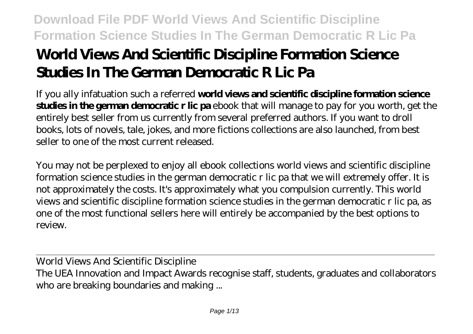# **World Views And Scientific Discipline Formation Science Studies In The German Democratic R Lic Pa**

If you ally infatuation such a referred **world views and scientific discipline formation science studies in the german democratic r lic pa** ebook that will manage to pay for you worth, get the entirely best seller from us currently from several preferred authors. If you want to droll books, lots of novels, tale, jokes, and more fictions collections are also launched, from best seller to one of the most current released.

You may not be perplexed to enjoy all ebook collections world views and scientific discipline formation science studies in the german democratic r lic pa that we will extremely offer. It is not approximately the costs. It's approximately what you compulsion currently. This world views and scientific discipline formation science studies in the german democratic r lic pa, as one of the most functional sellers here will entirely be accompanied by the best options to review.

World Views And Scientific Discipline The UEA Innovation and Impact Awards recognise staff, students, graduates and collaborators who are breaking boundaries and making ...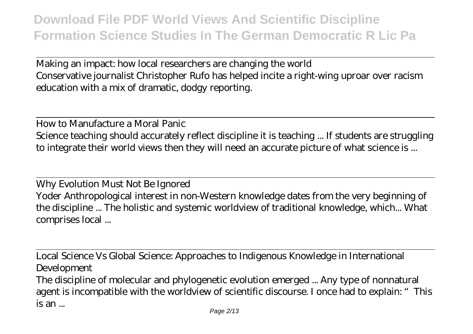Making an impact: how local researchers are changing the world Conservative journalist Christopher Rufo has helped incite a right-wing uproar over racism education with a mix of dramatic, dodgy reporting.

How to Manufacture a Moral Panic Science teaching should accurately reflect discipline it is teaching ... If students are struggling to integrate their world views then they will need an accurate picture of what science is ...

Why Evolution Must Not Be Ignored Yoder Anthropological interest in non-Western knowledge dates from the very beginning of the discipline ... The holistic and systemic worldview of traditional knowledge, which... What comprises local ...

Local Science Vs Global Science: Approaches to Indigenous Knowledge in International Development

The discipline of molecular and phylogenetic evolution emerged ... Any type of nonnatural agent is incompatible with the worldview of scientific discourse. I once had to explain: "This is an ...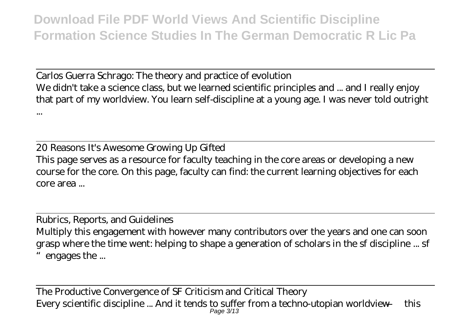Carlos Guerra Schrago: The theory and practice of evolution We didn't take a science class, but we learned scientific principles and ... and I really enjoy that part of my worldview. You learn self-discipline at a young age. I was never told outright ...

20 Reasons It's Awesome Growing Up Gifted This page serves as a resource for faculty teaching in the core areas or developing a new course for the core. On this page, faculty can find: the current learning objectives for each core area ...

Rubrics, Reports, and Guidelines Multiply this engagement with however many contributors over the years and one can soon grasp where the time went: helping to shape a generation of scholars in the sf discipline ... sf engages the ...

The Productive Convergence of SF Criticism and Critical Theory Every scientific discipline ... And it tends to suffer from a techno-utopian worldview — this Page 3/13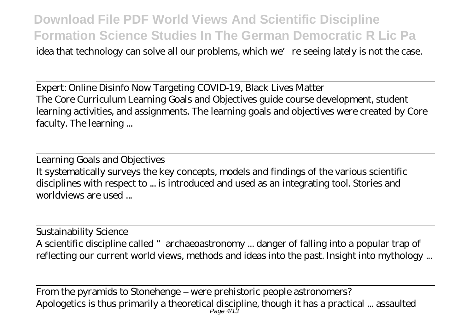idea that technology can solve all our problems, which we're seeing lately is not the case.

Expert: Online Disinfo Now Targeting COVID-19, Black Lives Matter The Core Curriculum Learning Goals and Objectives guide course development, student learning activities, and assignments. The learning goals and objectives were created by Core faculty. The learning ...

Learning Goals and Objectives It systematically surveys the key concepts, models and findings of the various scientific disciplines with respect to ... is introduced and used as an integrating tool. Stories and worldviews are used ...

Sustainability Science A scientific discipline called "archaeoastronomy ... danger of falling into a popular trap of reflecting our current world views, methods and ideas into the past. Insight into mythology ...

From the pyramids to Stonehenge – were prehistoric people astronomers? Apologetics is thus primarily a theoretical discipline, though it has a practical ... assaulted Page 4/13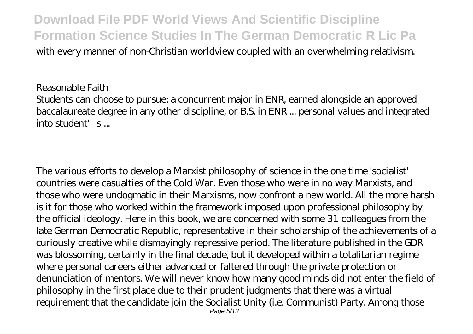with every manner of non-Christian worldview coupled with an overwhelming relativism.

Reasonable Faith Students can choose to pursue: a concurrent major in ENR, earned alongside an approved baccalaureate degree in any other discipline, or B.S. in ENR ... personal values and integrated into student's ...

The various efforts to develop a Marxist philosophy of science in the one time 'socialist' countries were casualties of the Cold War. Even those who were in no way Marxists, and those who were undogmatic in their Marxisms, now confront a new world. All the more harsh is it for those who worked within the framework imposed upon professional philosophy by the official ideology. Here in this book, we are concerned with some 31 colleagues from the late German Democratic Republic, representative in their scholarship of the achievements of a curiously creative while dismayingly repressive period. The literature published in the GDR was blossoming, certainly in the final decade, but it developed within a totalitarian regime where personal careers either advanced or faltered through the private protection or denunciation of mentors. We will never know how many good minds did not enter the field of philosophy in the first place due to their prudent judgments that there was a virtual requirement that the candidate join the Socialist Unity (i.e. Communist) Party. Among those Page 5/13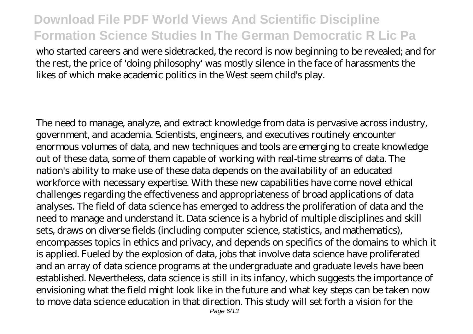who started careers and were sidetracked, the record is now beginning to be revealed; and for the rest, the price of 'doing philosophy' was mostly silence in the face of harassments the likes of which make academic politics in the West seem child's play.

The need to manage, analyze, and extract knowledge from data is pervasive across industry, government, and academia. Scientists, engineers, and executives routinely encounter enormous volumes of data, and new techniques and tools are emerging to create knowledge out of these data, some of them capable of working with real-time streams of data. The nation's ability to make use of these data depends on the availability of an educated workforce with necessary expertise. With these new capabilities have come novel ethical challenges regarding the effectiveness and appropriateness of broad applications of data analyses. The field of data science has emerged to address the proliferation of data and the need to manage and understand it. Data science is a hybrid of multiple disciplines and skill sets, draws on diverse fields (including computer science, statistics, and mathematics), encompasses topics in ethics and privacy, and depends on specifics of the domains to which it is applied. Fueled by the explosion of data, jobs that involve data science have proliferated and an array of data science programs at the undergraduate and graduate levels have been established. Nevertheless, data science is still in its infancy, which suggests the importance of envisioning what the field might look like in the future and what key steps can be taken now to move data science education in that direction. This study will set forth a vision for the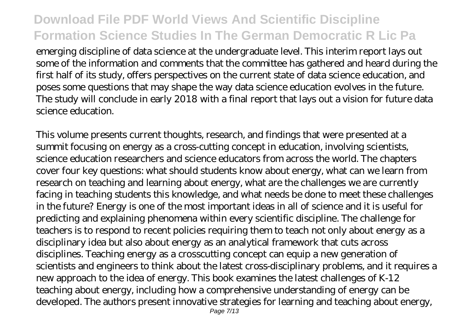emerging discipline of data science at the undergraduate level. This interim report lays out some of the information and comments that the committee has gathered and heard during the first half of its study, offers perspectives on the current state of data science education, and poses some questions that may shape the way data science education evolves in the future. The study will conclude in early 2018 with a final report that lays out a vision for future data science education.

This volume presents current thoughts, research, and findings that were presented at a summit focusing on energy as a cross-cutting concept in education, involving scientists, science education researchers and science educators from across the world. The chapters cover four key questions: what should students know about energy, what can we learn from research on teaching and learning about energy, what are the challenges we are currently facing in teaching students this knowledge, and what needs be done to meet these challenges in the future? Energy is one of the most important ideas in all of science and it is useful for predicting and explaining phenomena within every scientific discipline. The challenge for teachers is to respond to recent policies requiring them to teach not only about energy as a disciplinary idea but also about energy as an analytical framework that cuts across disciplines. Teaching energy as a crosscutting concept can equip a new generation of scientists and engineers to think about the latest cross-disciplinary problems, and it requires a new approach to the idea of energy. This book examines the latest challenges of K-12 teaching about energy, including how a comprehensive understanding of energy can be developed. The authors present innovative strategies for learning and teaching about energy,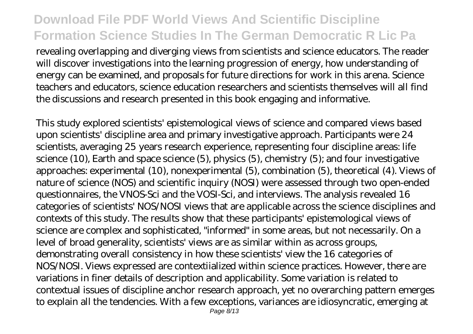revealing overlapping and diverging views from scientists and science educators. The reader will discover investigations into the learning progression of energy, how understanding of energy can be examined, and proposals for future directions for work in this arena. Science teachers and educators, science education researchers and scientists themselves will all find the discussions and research presented in this book engaging and informative.

This study explored scientists' epistemological views of science and compared views based upon scientists' discipline area and primary investigative approach. Participants were 24 scientists, averaging 25 years research experience, representing four discipline areas: life science (10), Earth and space science (5), physics (5), chemistry (5); and four investigative approaches: experimental (10), nonexperimental (5), combination (5), theoretical (4). Views of nature of science (NOS) and scientific inquiry (NOSI) were assessed through two open-ended questionnaires, the VNOS-Sci and the VOSI-Sci, and interviews. The analysis revealed 16 categories of scientists' NOS/NOSI views that are applicable across the science disciplines and contexts of this study. The results show that these participants' epistemological views of science are complex and sophisticated, "informed" in some areas, but not necessarily. On a level of broad generality, scientists' views are as similar within as across groups, demonstrating overall consistency in how these scientists' view the 16 categories of NOS/NOSI. Views expressed are contextiialized within science practices. However, there are variations in finer details of description and applicability. Some variation is related to contextual issues of discipline anchor research approach, yet no overarching pattern emerges to explain all the tendencies. With a few exceptions, variances are idiosyncratic, emerging at Page  $\bar{8}/13$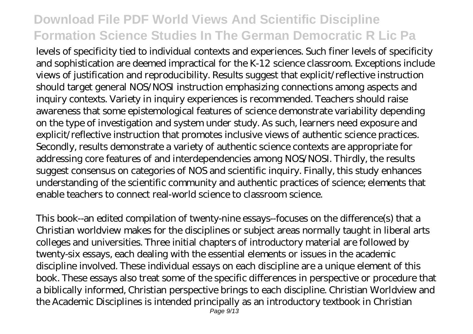levels of specificity tied to individual contexts and experiences. Such finer levels of specificity and sophistication are deemed impractical for the K-12 science classroom. Exceptions include views of justification and reproducibility. Results suggest that explicit/reflective instruction should target general NOS/NOSI instruction emphasizing connections among aspects and inquiry contexts. Variety in inquiry experiences is recommended. Teachers should raise awareness that some epistemological features of science demonstrate variability depending on the type of investigation and system under study. As such, learners need exposure and explicit/reflective instruction that promotes inclusive views of authentic science practices. Secondly, results demonstrate a variety of authentic science contexts are appropriate for addressing core features of and interdependencies among NOS/NOSI. Thirdly, the results suggest consensus on categories of NOS and scientific inquiry. Finally, this study enhances understanding of the scientific community and authentic practices of science; elements that enable teachers to connect real-world science to classroom science.

This book--an edited compilation of twenty-nine essays--focuses on the difference(s) that a Christian worldview makes for the disciplines or subject areas normally taught in liberal arts colleges and universities. Three initial chapters of introductory material are followed by twenty-six essays, each dealing with the essential elements or issues in the academic discipline involved. These individual essays on each discipline are a unique element of this book. These essays also treat some of the specific differences in perspective or procedure that a biblically informed, Christian perspective brings to each discipline. Christian Worldview and the Academic Disciplines is intended principally as an introductory textbook in Christian Page  $9/13$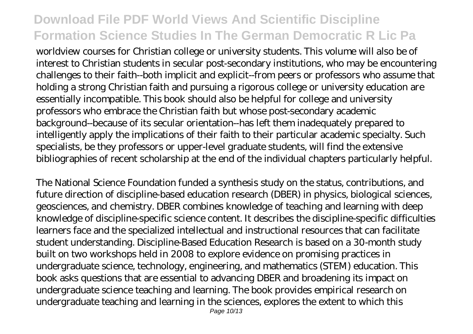worldview courses for Christian college or university students. This volume will also be of interest to Christian students in secular post-secondary institutions, who may be encountering challenges to their faith--both implicit and explicit--from peers or professors who assume that holding a strong Christian faith and pursuing a rigorous college or university education are essentially incompatible. This book should also be helpful for college and university professors who embrace the Christian faith but whose post-secondary academic background--because of its secular orientation--has left them inadequately prepared to intelligently apply the implications of their faith to their particular academic specialty. Such specialists, be they professors or upper-level graduate students, will find the extensive bibliographies of recent scholarship at the end of the individual chapters particularly helpful.

The National Science Foundation funded a synthesis study on the status, contributions, and future direction of discipline-based education research (DBER) in physics, biological sciences, geosciences, and chemistry. DBER combines knowledge of teaching and learning with deep knowledge of discipline-specific science content. It describes the discipline-specific difficulties learners face and the specialized intellectual and instructional resources that can facilitate student understanding. Discipline-Based Education Research is based on a 30-month study built on two workshops held in 2008 to explore evidence on promising practices in undergraduate science, technology, engineering, and mathematics (STEM) education. This book asks questions that are essential to advancing DBER and broadening its impact on undergraduate science teaching and learning. The book provides empirical research on undergraduate teaching and learning in the sciences, explores the extent to which this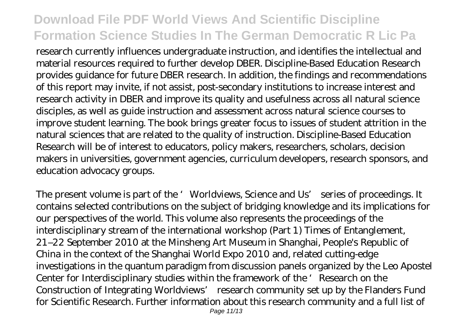research currently influences undergraduate instruction, and identifies the intellectual and material resources required to further develop DBER. Discipline-Based Education Research provides guidance for future DBER research. In addition, the findings and recommendations of this report may invite, if not assist, post-secondary institutions to increase interest and research activity in DBER and improve its quality and usefulness across all natural science disciples, as well as guide instruction and assessment across natural science courses to improve student learning. The book brings greater focus to issues of student attrition in the natural sciences that are related to the quality of instruction. Discipline-Based Education Research will be of interest to educators, policy makers, researchers, scholars, decision makers in universities, government agencies, curriculum developers, research sponsors, and education advocacy groups.

The present volume is part of the 'Worldviews, Science and Us' series of proceedings. It contains selected contributions on the subject of bridging knowledge and its implications for our perspectives of the world. This volume also represents the proceedings of the interdisciplinary stream of the international workshop (Part 1) Times of Entanglement, 21–22 September 2010 at the Minsheng Art Museum in Shanghai, People's Republic of China in the context of the Shanghai World Expo 2010 and, related cutting-edge investigations in the quantum paradigm from discussion panels organized by the Leo Apostel Center for Interdisciplinary studies within the framework of the ' Research on the Construction of Integrating Worldviews' research community set up by the Flanders Fund for Scientific Research. Further information about this research community and a full list of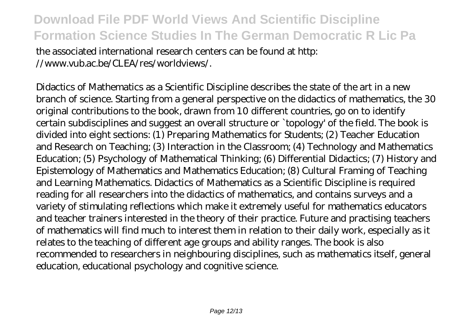the associated international research centers can be found at http: //www.vub.ac.be/CLEA/res/worldviews/.

Didactics of Mathematics as a Scientific Discipline describes the state of the art in a new branch of science. Starting from a general perspective on the didactics of mathematics, the 30 original contributions to the book, drawn from 10 different countries, go on to identify certain subdisciplines and suggest an overall structure or `topology' of the field. The book is divided into eight sections: (1) Preparing Mathematics for Students; (2) Teacher Education and Research on Teaching; (3) Interaction in the Classroom; (4) Technology and Mathematics Education; (5) Psychology of Mathematical Thinking; (6) Differential Didactics; (7) History and Epistemology of Mathematics and Mathematics Education; (8) Cultural Framing of Teaching and Learning Mathematics. Didactics of Mathematics as a Scientific Discipline is required reading for all researchers into the didactics of mathematics, and contains surveys and a variety of stimulating reflections which make it extremely useful for mathematics educators and teacher trainers interested in the theory of their practice. Future and practising teachers of mathematics will find much to interest them in relation to their daily work, especially as it relates to the teaching of different age groups and ability ranges. The book is also recommended to researchers in neighbouring disciplines, such as mathematics itself, general education, educational psychology and cognitive science.